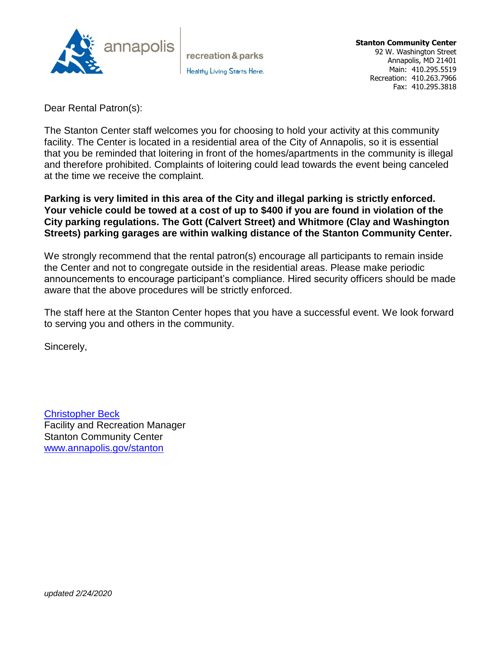

recreation & parks Healthy Living Starts Here.

Dear Rental Patron(s):

The Stanton Center staff welcomes you for choosing to hold your activity at this community facility. The Center is located in a residential area of the City of Annapolis, so it is essential that you be reminded that loitering in front of the homes/apartments in the community is illegal and therefore prohibited. Complaints of loitering could lead towards the event being canceled at the time we receive the complaint.

### **Parking is very limited in this area of the City and illegal parking is strictly enforced. Your vehicle could be towed at a cost of up to \$400 if you are found in violation of the City parking regulations. The Gott (Calvert Street) and Whitmore (Clay and Washington Streets) parking garages are within walking distance of the Stanton Community Center.**

We strongly recommend that the rental patron(s) encourage all participants to remain inside the Center and not to congregate outside in the residential areas. Please make periodic announcements to encourage participant's compliance. Hired security officers should be made aware that the above procedures will be strictly enforced.

The staff here at the Stanton Center hopes that you have a successful event. We look forward to serving you and others in the community.

Sincerely,

[Christopher Beck](mailto:cmbeck@annapolis.gov?subject=Stanton%20rental%20inquiry) Facility and Recreation Manager Stanton Community Center [www.annapolis.gov/stanton](http://www.annapolis.gov/stanton)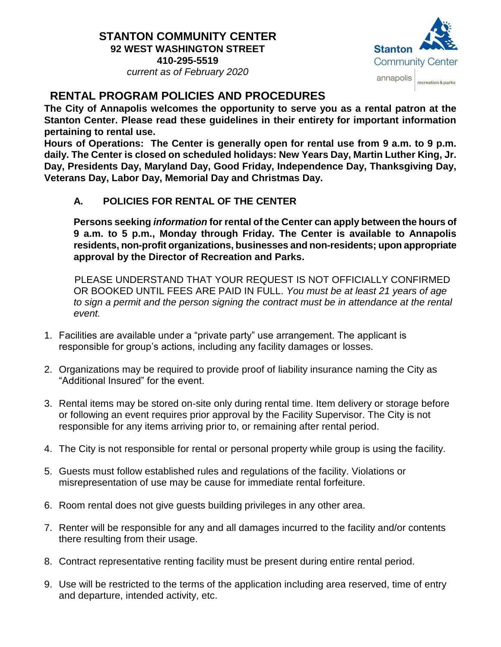# **STANTON COMMUNITY CENTER 92 WEST WASHINGTON STREET**

**410-295-5519** *current as of February 2020*



# **RENTAL PROGRAM POLICIES AND PROCEDURES**

**The City of Annapolis welcomes the opportunity to serve you as a rental patron at the Stanton Center. Please read these guidelines in their entirety for important information pertaining to rental use.**

**Hours of Operations: The Center is generally open for rental use from 9 a.m. to 9 p.m. daily. The Center is closed on scheduled holidays: New Years Day, Martin Luther King, Jr. Day, Presidents Day, Maryland Day, Good Friday, Independence Day, Thanksgiving Day, Veterans Day, Labor Day, Memorial Day and Christmas Day.** 

**A. POLICIES FOR RENTAL OF THE CENTER**

**Persons seeking** *information* **for rental of the Center can apply between the hours of 9 a.m. to 5 p.m., Monday through Friday. The Center is available to Annapolis residents, non-profit organizations, businesses and non-residents; upon appropriate approval by the Director of Recreation and Parks.**

 PLEASE UNDERSTAND THAT YOUR REQUEST IS NOT OFFICIALLY CONFIRMED OR BOOKED UNTIL FEES ARE PAID IN FULL. *You must be at least 21 years of age to sign a permit and the person signing the contract must be in attendance at the rental event.*

- 1. Facilities are available under a "private party" use arrangement. The applicant is responsible for group's actions, including any facility damages or losses.
- 2. Organizations may be required to provide proof of liability insurance naming the City as "Additional Insured" for the event.
- 3. Rental items may be stored on-site only during rental time. Item delivery or storage before or following an event requires prior approval by the Facility Supervisor. The City is not responsible for any items arriving prior to, or remaining after rental period.
- 4. The City is not responsible for rental or personal property while group is using the facility.
- 5. Guests must follow established rules and regulations of the facility. Violations or misrepresentation of use may be cause for immediate rental forfeiture.
- 6. Room rental does not give guests building privileges in any other area.
- 7. Renter will be responsible for any and all damages incurred to the facility and/or contents there resulting from their usage.
- 8. Contract representative renting facility must be present during entire rental period.
- 9. Use will be restricted to the terms of the application including area reserved, time of entry and departure, intended activity, etc.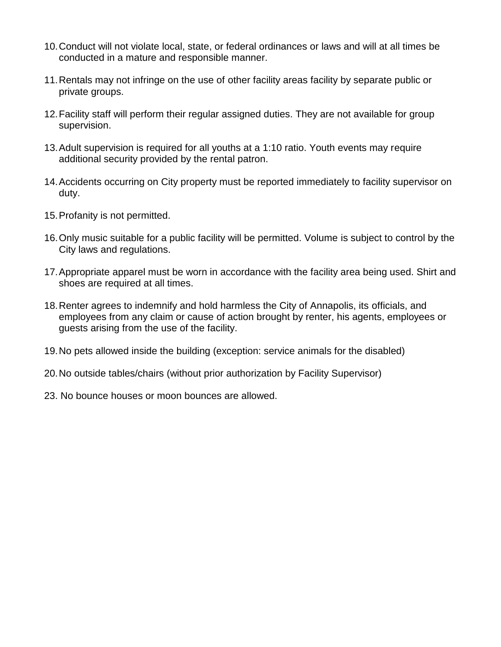- 10.Conduct will not violate local, state, or federal ordinances or laws and will at all times be conducted in a mature and responsible manner.
- 11.Rentals may not infringe on the use of other facility areas facility by separate public or private groups.
- 12.Facility staff will perform their regular assigned duties. They are not available for group supervision.
- 13.Adult supervision is required for all youths at a 1:10 ratio. Youth events may require additional security provided by the rental patron.
- 14.Accidents occurring on City property must be reported immediately to facility supervisor on duty.
- 15.Profanity is not permitted.
- 16.Only music suitable for a public facility will be permitted. Volume is subject to control by the City laws and regulations.
- 17.Appropriate apparel must be worn in accordance with the facility area being used. Shirt and shoes are required at all times.
- 18.Renter agrees to indemnify and hold harmless the City of Annapolis, its officials, and employees from any claim or cause of action brought by renter, his agents, employees or guests arising from the use of the facility.
- 19.No pets allowed inside the building (exception: service animals for the disabled)
- 20.No outside tables/chairs (without prior authorization by Facility Supervisor)
- 23. No bounce houses or moon bounces are allowed.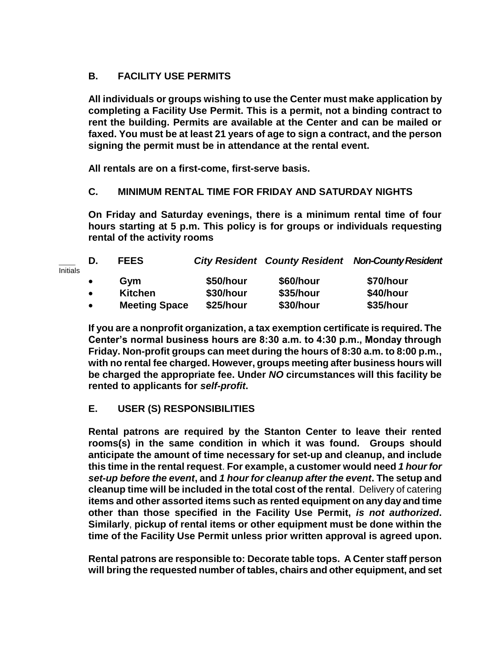## **B. FACILITY USE PERMITS**

**All individuals or groups wishing to use the Center must make application by completing a Facility Use Permit. This is a permit, not a binding contract to rent the building. Permits are available at the Center and can be mailed or faxed. You must be at least 21 years of age to sign a contract, and the person signing the permit must be in attendance at the rental event.**

**All rentals are on a first-come, first-serve basis.**

### **C. MINIMUM RENTAL TIME FOR FRIDAY AND SATURDAY NIGHTS**

**On Friday and Saturday evenings, there is a minimum rental time of four hours starting at 5 p.m. This policy is for groups or individuals requesting rental of the activity rooms**

| <b>Initials</b> | D.        | <b>FEES</b>          |           |           | <b>City Resident County Resident Non-County Resident</b> |
|-----------------|-----------|----------------------|-----------|-----------|----------------------------------------------------------|
|                 | $\bullet$ | Gvm                  | \$50/hour | \$60/hour | \$70/hour                                                |
|                 | $\bullet$ | <b>Kitchen</b>       | \$30/hour | \$35/hour | \$40/hour                                                |
|                 | $\bullet$ | <b>Meeting Space</b> | \$25/hour | \$30/hour | \$35/hour                                                |

**If you are a nonprofit organization, a tax exemption certificate is required. The Center's normal business hours are 8:30 a.m. to 4:30 p.m., Monday through Friday. Non-profit groups can meet during the hours of 8:30 a.m. to 8:00 p.m., with no rental fee charged. However, groups meeting after business hours will be charged the appropriate fee. Under** *NO* **circumstances will this facility be rented to applicants for** *self-profit***.**

### **E. USER (S) RESPONSIBILITIES**

**Rental patrons are required by the Stanton Center to leave their rented rooms(s) in the same condition in which it was found. Groups should anticipate the amount of time necessary for set-up and cleanup, and include this time in the rental request**. **For example, a customer would need** *1 hourfor set-up before the event***, and** *1 hour for cleanup after the event***. The setup and cleanup time will be included in the total cost of the rental**. Delivery of catering **items and other assorted items such as rented equipment on any day and time other than those specified in the Facility Use Permit,** *is not authorized***. Similarly**, **pickup of rental items or other equipment must be done within the time of the Facility Use Permit unless prior written approval is agreed upon.**

**Rental patrons are responsible to: Decorate table tops. A Center staff person will bring the requested number of tables, chairs and other equipment, and set**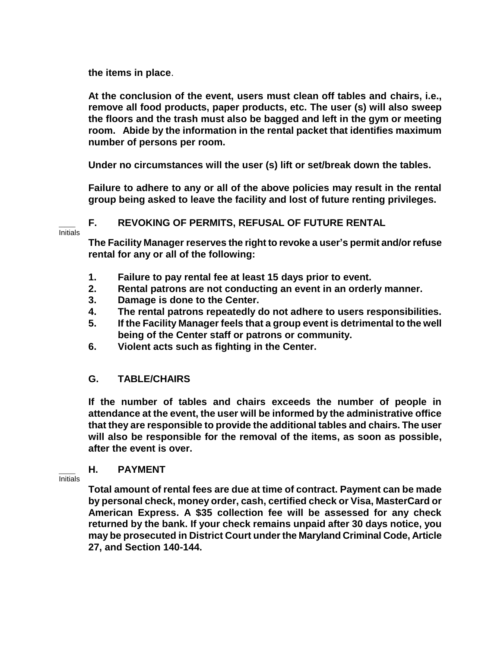**the items in place**.

**At the conclusion of the event, users must clean off tables and chairs, i.e., remove all food products, paper products, etc. The user (s) will also sweep the floors and the trash must also be bagged and left in the gym or meeting room. Abide by the information in the rental packet that identifies maximum number of persons per room.**

**Under no circumstances will the user (s) lift or set/break down the tables.**

**Failure to adhere to any or all of the above policies may result in the rental group being asked to leave the facility and lost of future renting privileges.**

### **\_\_\_ F. REVOKING OF PERMITS, REFUSAL OF FUTURE RENTAL**

Initials

**The Facility Manager reserves the right to revoke a user's permit and/or refuse rental for any or all of the following:**

- **1. Failure to pay rental fee at least 15 days prior to event.**
- **2. Rental patrons are not conducting an event in an orderly manner.**
- **3. Damage is done to the Center.**
- **4. The rental patrons repeatedly do not adhere to users responsibilities.**
- **5. If the Facility Manager feels that a group event is detrimental to the well being of the Center staff or patrons or community.**
- **6. Violent acts such as fighting in the Center.**

### **G. TABLE/CHAIRS**

**If the number of tables and chairs exceeds the number of people in attendance at the event, the user will be informed by the administrative office that they are responsible to provide the additional tables and chairs. The user will also be responsible for the removal of the items, as soon as possible, after the event is over.**

### **\_\_\_ H. PAYMENT**

Initials

**Total amount of rental fees are due at time of contract. Payment can be made by personal check, money order, cash, certified check or Visa, MasterCard or American Express. A \$35 collection fee will be assessed for any check returned by the bank. If your check remains unpaid after 30 days notice, you may be prosecuted in District Court under the Maryland Criminal Code, Article 27, and Section 140-144.**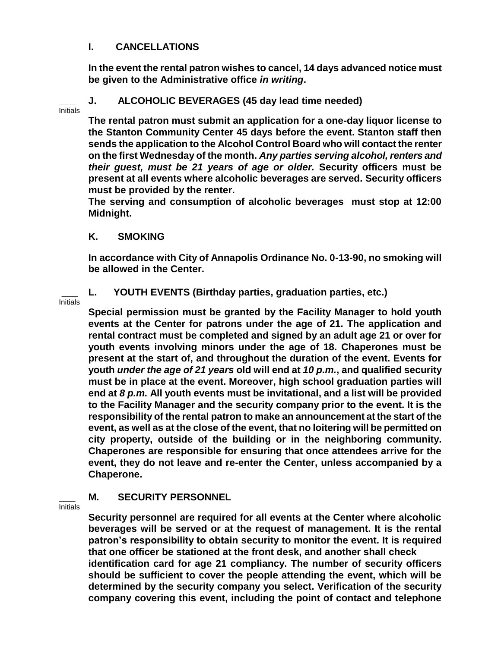### **I. CANCELLATIONS**

**In the event the rental patron wishes to cancel, 14 days advanced notice must be given to the Administrative office** *in writing***.**

#### **\_\_\_ J. ALCOHOLIC BEVERAGES (45 day lead time needed)** Initials

**The rental patron must submit an application for a one-day liquor license to the Stanton Community Center 45 days before the event. Stanton staff then sends the application to the Alcohol Control Board who will contact the renter on the first Wednesday of the month.** *Any parties serving alcohol, renters and their guest, must be 21 years of age or older.* **Security officers must be present at all events where alcoholic beverages are served. Security officers must be provided by the renter.**

**The serving and consumption of alcoholic beverages must stop at 12:00 Midnight.**

### **K. SMOKING**

**In accordance with City of Annapolis Ordinance No. 0-13-90, no smoking will be allowed in the Center.**

### Initials

**\_\_\_ L. YOUTH EVENTS (Birthday parties, graduation parties, etc.)**

**Special permission must be granted by the Facility Manager to hold youth events at the Center for patrons under the age of 21. The application and rental contract must be completed and signed by an adult age 21 or over for youth events involving minors under the age of 18. Chaperones must be present at the start of, and throughout the duration of the event. Events for youth** *under the age of 21 years* **old will end at** *10 p.m.***, and qualified security must be in place at the event. Moreover, high school graduation parties will end at** *8 p.m.* **All youth events must be invitational, and a list will be provided to the Facility Manager and the security company prior to the event. It is the responsibility of the rental patron to make an announcement at the start of the event, as well as at the close of the event, that no loitering will be permitted on city property, outside of the building or in the neighboring community. Chaperones are responsible for ensuring that once attendees arrive for the event, they do not leave and re-enter the Center, unless accompanied by a Chaperone.**

### **\_\_\_ M. SECURITY PERSONNEL**

Initials

**Security personnel are required for all events at the Center where alcoholic beverages will be served or at the request of management. It is the rental patron's responsibility to obtain security to monitor the event. It is required that one officer be stationed at the front desk, and another shall check identification card for age 21 compliancy. The number of security officers should be sufficient to cover the people attending the event, which will be determined by the security company you select. Verification of the security company covering this event, including the point of contact and telephone**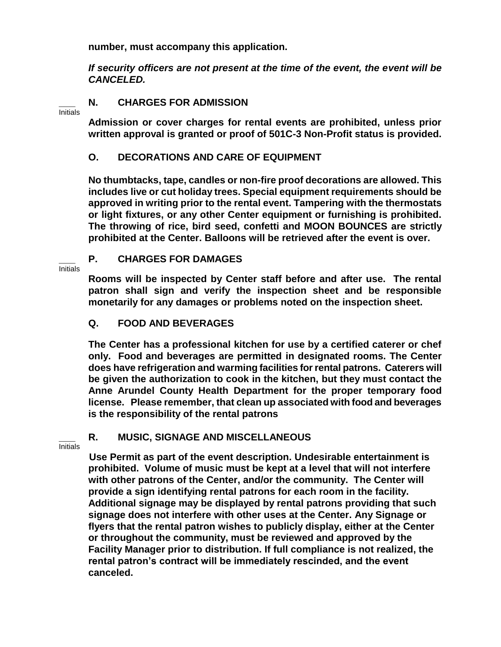**number, must accompany this application.**

*If security officers are not present at the time of the event, the event will be CANCELED.*

### **\_\_\_ N. CHARGES FOR ADMISSION**

Initials

**Admission or cover charges for rental events are prohibited, unless prior written approval is granted or proof of 501C-3 Non-Profit status is provided.**

## **O. DECORATIONS AND CARE OF EQUIPMENT**

**No thumbtacks, tape, candles or non-fire proof decorations are allowed. This includes live or cut holiday trees. Special equipment requirements should be approved in writing prior to the rental event. Tampering with the thermostats or light fixtures, or any other Center equipment or furnishing is prohibited. The throwing of rice, bird seed, confetti and MOON BOUNCES are strictly prohibited at the Center. Balloons will be retrieved after the event is over.**

### **\_\_\_ P. CHARGES FOR DAMAGES**

Initials

**Rooms will be inspected by Center staff before and after use. The rental patron shall sign and verify the inspection sheet and be responsible monetarily for any damages or problems noted on the inspection sheet.** 

## **Q. FOOD AND BEVERAGES**

**The Center has a professional kitchen for use by a certified caterer or chef only. Food and beverages are permitted in designated rooms. The Center does have refrigeration and warming facilities for rental patrons. Caterers will be given the authorization to cook in the kitchen, but they must contact the Anne Arundel County Health Department for the proper temporary food license. Please remember, that clean up associated with food and beverages is the responsibility of the rental patrons**

### **\_\_\_ R. MUSIC, SIGNAGE AND MISCELLANEOUS**

Initials

 **Use Permit as part of the event description. Undesirable entertainment is prohibited. Volume of music must be kept at a level that will not interfere with other patrons of the Center, and/or the community. The Center will provide a sign identifying rental patrons for each room in the facility. Additional signage may be displayed by rental patrons providing that such signage does not interfere with other uses at the Center. Any Signage or flyers that the rental patron wishes to publicly display, either at the Center or throughout the community, must be reviewed and approved by the Facility Manager prior to distribution. If full compliance is not realized, the rental patron's contract will be immediately rescinded, and the event canceled.**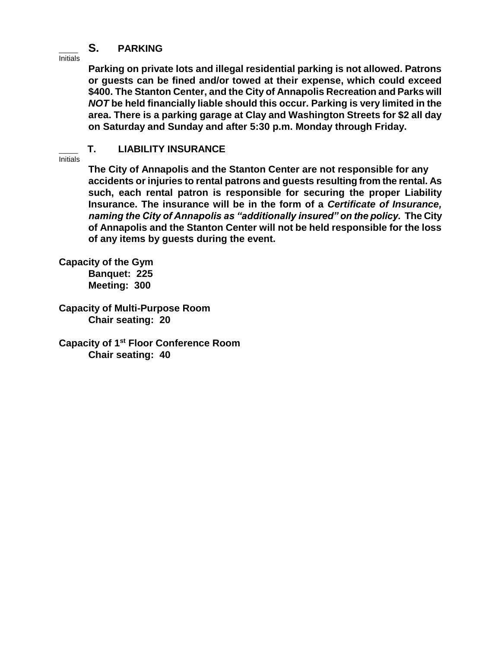## **\_\_\_ S. PARKING**

Initials

**Parking on private lots and illegal residential parking is not allowed. Patrons or guests can be fined and/or towed at their expense, which could exceed \$400. The Stanton Center, and the City of Annapolis Recreation and Parks will**  *NOT* **be held financially liable should this occur. Parking is very limited in the area. There is a parking garage at Clay and Washington Streets for \$2 all day on Saturday and Sunday and after 5:30 p.m. Monday through Friday.**

### **\_\_\_ T. LIABILITY INSURANCE**

**Initials** 

**The City of Annapolis and the Stanton Center are not responsible for any accidents or injuries to rental patrons and guests resulting from the rental. As such, each rental patron is responsible for securing the proper Liability Insurance. The insurance will be in the form of a** *Certificate of Insurance, naming the City of Annapolis as "additionally insured" on the policy.* **The City of Annapolis and the Stanton Center will not be held responsible for the loss of any items by guests during the event.**

**Capacity of the Gym Banquet: 225 Meeting: 300**

**Capacity of Multi-Purpose Room Chair seating: 20**

**Capacity of 1st Floor Conference Room Chair seating: 40**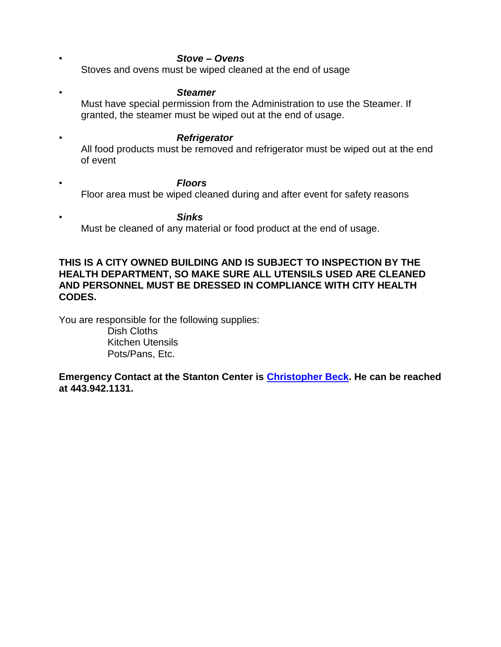- *• Stove – Ovens* Stoves and ovens must be wiped cleaned at the end of usage
- *• Steamer* Must have special permission from the Administration to use the Steamer. If granted, the steamer must be wiped out at the end of usage.
- *• Refrigerator* All food products must be removed and refrigerator must be wiped out at the end of event
- *• Floors* Floor area must be wiped cleaned during and after event for safety reasons

*• Sinks* Must be cleaned of any material or food product at the end of usage.

### **THIS IS A CITY OWNED BUILDING AND IS SUBJECT TO INSPECTION BY THE HEALTH DEPARTMENT, SO MAKE SURE ALL UTENSILS USED ARE CLEANED AND PERSONNEL MUST BE DRESSED IN COMPLIANCE WITH CITY HEALTH CODES.**

You are responsible for the following supplies:

 Dish Cloths Kitchen Utensils Pots/Pans, Etc.

**Emergency Contact at the Stanton Center is [Christopher Beck.](mailto:cmbeck@annapolis.gov?subject=Stanton%20rental%20inquiry) He can be reached at 443.942.1131.**